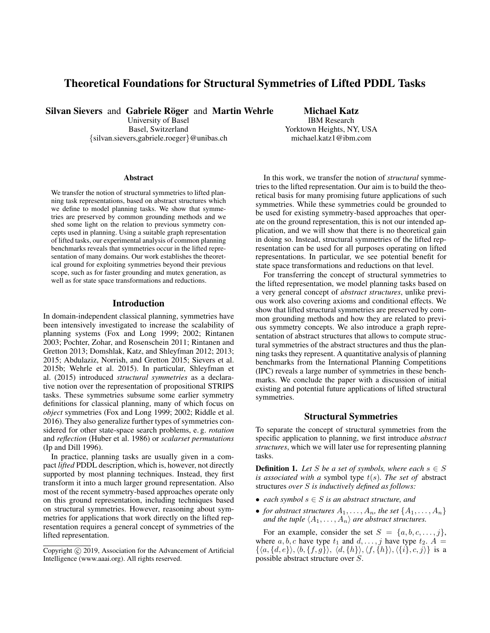# Theoretical Foundations for Structural Symmetries of Lifted PDDL Tasks

Silvan Sievers and Gabriele Röger and Martin Wehrle

University of Basel Basel, Switzerland {silvan.sievers,gabriele.roeger}@unibas.ch

Michael Katz IBM Research Yorktown Heights, NY, USA michael.katz1@ibm.com

#### Abstract

We transfer the notion of structural symmetries to lifted planning task representations, based on abstract structures which we define to model planning tasks. We show that symmetries are preserved by common grounding methods and we shed some light on the relation to previous symmetry concepts used in planning. Using a suitable graph representation of lifted tasks, our experimental analysis of common planning benchmarks reveals that symmetries occur in the lifted representation of many domains. Our work establishes the theoretical ground for exploiting symmetries beyond their previous scope, such as for faster grounding and mutex generation, as well as for state space transformations and reductions.

## Introduction

In domain-independent classical planning, symmetries have been intensively investigated to increase the scalability of planning systems (Fox and Long 1999; 2002; Rintanen 2003; Pochter, Zohar, and Rosenschein 2011; Rintanen and Gretton 2013; Domshlak, Katz, and Shleyfman 2012; 2013; 2015; Abdulaziz, Norrish, and Gretton 2015; Sievers et al. 2015b; Wehrle et al. 2015). In particular, Shleyfman et al. (2015) introduced *structural symmetries* as a declarative notion over the representation of propositional STRIPS tasks. These symmetries subsume some earlier symmetry definitions for classical planning, many of which focus on *object* symmetries (Fox and Long 1999; 2002; Riddle et al. 2016). They also generalize further types of symmetries considered for other state-space search problems, e. g. *rotation* and *reflection* (Huber et al. 1986) or *scalarset permutations* (Ip and Dill 1996).

In practice, planning tasks are usually given in a compact *lifted* PDDL description, which is, however, not directly supported by most planning techniques. Instead, they first transform it into a much larger ground representation. Also most of the recent symmetry-based approaches operate only on this ground representation, including techniques based on structural symmetries. However, reasoning about symmetries for applications that work directly on the lifted representation requires a general concept of symmetries of the lifted representation.

In this work, we transfer the notion of *structural* symmetries to the lifted representation. Our aim is to build the theoretical basis for many promising future applications of such symmetries. While these symmetries could be grounded to be used for existing symmetry-based approaches that operate on the ground representation, this is not our intended application, and we will show that there is no theoretical gain in doing so. Instead, structural symmetries of the lifted representation can be used for all purposes operating on lifted representations. In particular, we see potential benefit for state space transformations and reductions on that level.

For transferring the concept of structural symmetries to the lifted representation, we model planning tasks based on a very general concept of *abstract structures*, unlike previous work also covering axioms and conditional effects. We show that lifted structural symmetries are preserved by common grounding methods and how they are related to previous symmetry concepts. We also introduce a graph representation of abstract structures that allows to compute structural symmetries of the abstract structures and thus the planning tasks they represent. A quantitative analysis of planning benchmarks from the International Planning Competitions (IPC) reveals a large number of symmetries in these benchmarks. We conclude the paper with a discussion of initial existing and potential future applications of lifted structural symmetries.

# Structural Symmetries

To separate the concept of structural symmetries from the specific application to planning, we first introduce *abstract structures*, which we will later use for representing planning tasks.

**Definition 1.** Let S be a set of symbols, where each  $s \in S$ *is associated with a* symbol type  $t(s)$ *. The set of* abstract structures *over* S *is inductively defined as follows:*

- *each symbol* s ∈ S *is an abstract structure, and*
- *for abstract structures*  $A_1, \ldots, A_n$ *, the set*  $\{A_1, \ldots, A_n\}$ *and the tuple*  $\langle A_1, \ldots, A_n \rangle$  *are abstract structures.*

For an example, consider the set  $S = \{a, b, c, \ldots, j\},\$ where a, b, c have type  $t_1$  and  $d, \ldots, j$  have type  $t_2$ .  $A =$  $\{\langle a, \{d, e\}\rangle, \langle b, \{f, g\}\rangle, \langle d, \{h\}\rangle, \langle f, \{h\}\rangle, \langle \{i\}, c, j\rangle\}$  is a possible abstract structure over S.

Copyright  $\odot$  2019, Association for the Advancement of Artificial Intelligence (www.aaai.org). All rights reserved.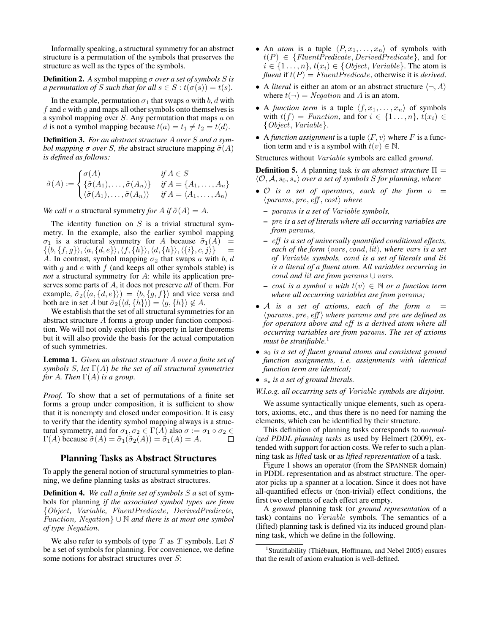Informally speaking, a structural symmetry for an abstract structure is a permutation of the symbols that preserves the structure as well as the types of the symbols.

**Definition 2.** *A* symbol mapping  $\sigma$  *over a set of symbols S is a permutation of* S *such that for all*  $s \in S : t(\sigma(s)) = t(s)$ *.* 

In the example, permutation  $\sigma_1$  that swaps a with b, d with  $f$  and  $e$  with  $g$  and maps all other symbols onto themselves is a symbol mapping over  $S$ . Any permutation that maps  $a$  on d is not a symbol mapping because  $t(a) = t_1 \neq t_2 = t(d)$ .

Definition 3. *For an abstract structure* A *over* S *and a symbol mapping*  $\sigma$  *over S*, *the* abstract structure mapping  $\tilde{\sigma}(A)$ *is defined as follows:*

$$
\tilde{\sigma}(A) := \begin{cases} \sigma(A) & \text{if } A \in S \\ \{\tilde{\sigma}(A_1), \dots, \tilde{\sigma}(A_n)\} & \text{if } A = \{A_1, \dots, A_n\} \\ \langle \tilde{\sigma}(A_1), \dots, \tilde{\sigma}(A_n) \rangle & \text{if } A = \langle A_1, \dots, A_n \rangle \end{cases}
$$

*We call*  $\sigma$  *a* structural symmetry *for*  $A$  *if*  $\tilde{\sigma}(A) = A$ *.* 

The identity function on  $S$  is a trivial structural symmetry. In the example, also the earlier symbol mapping  $\sigma_1$  is a structural symmetry for A because  $\tilde{\sigma}_1(A)$  =  $\{\langle b, \{f, g\}\rangle, \langle a, \{d, e\}\rangle, \langle f, \{h\}\rangle, \langle d, \{h\}\rangle, \langle \{i\}, c, j\rangle \}$ A. In contrast, symbol mapping  $\sigma_2$  that swaps a with b, d with g and e with  $f$  (and keeps all other symbols stable) is *not* a structural symmetry for A: while its application preserves some parts of A, it does not preserve *all* of them. For example,  $\tilde{\sigma}_2(\langle a, \{d, e\}\rangle) = \langle b, \{g, f\}\rangle$  and vice versa and both are in set A but  $\tilde{\sigma}_2(\langle d, \{h\}\rangle) = \langle g, \{h\}\rangle \notin A$ .

We establish that the set of all structural symmetries for an abstract structure A forms a group under function composition. We will not only exploit this property in later theorems but it will also provide the basis for the actual computation of such symmetries.

Lemma 1. *Given an abstract structure* A *over a finite set of symbols* S*, let* Γ(A) *be the set of all structural symmetries for* A. Then  $\Gamma(A)$  *is a group.* 

*Proof.* To show that a set of permutations of a finite set forms a group under composition, it is sufficient to show that it is nonempty and closed under composition. It is easy to verify that the identity symbol mapping always is a structural symmetry, and for  $\sigma_1, \sigma_2 \in \Gamma(A)$  also  $\sigma := \sigma_1 \circ \sigma_2 \in \Gamma(A)$  because  $\tilde{\sigma}(A) = \tilde{\sigma}_1(\tilde{\sigma}_2(A)) = \tilde{\sigma}_1(A) = A$ .  $\Gamma(A)$  because  $\tilde{\sigma}(A) = \tilde{\sigma}_1(\tilde{\sigma}_2(A)) = \tilde{\sigma}_1(A) = A$ .

# Planning Tasks as Abstract Structures

To apply the general notion of structural symmetries to planning, we define planning tasks as abstract structures.

Definition 4. *We call a finite set of symbols* S *a* set of symbols for planning *if the associated symbol types are from* {Object*,* Variable*,* FluentPredicate*,* DerivedPredicate*,* Function*,* Negation} ∪ <sup>N</sup> *and there is at most one symbol of type* Negation*.*

We also refer to symbols of type  $T$  as  $T$  symbols. Let  $S$ be a set of symbols for planning. For convenience, we define some notions for abstract structures over S:

- An *atom* is a tuple  $\langle P, x_1, \ldots, x_n \rangle$  of symbols with  $t(P) \in \{FluentPredicte, DerivedPredicte\}$ , and for  $i \in \{1 \ldots, n\}, t(x_i) \in \{Object, Variable\}.$  The atom is *fluent* if  $t(P) = FluentPredicte$ , otherwise it is *derived*.
- A *literal* is either an atom or an abstract structure  $\langle \neg, A \rangle$ where  $t(\neg)$  = *Negation* and *A* is an atom.
- A *function term* is a tuple  $\langle f, x_1, \ldots, x_n \rangle$  of symbols with  $t(f) = Function$ , and for  $i \in \{1 \ldots, n\}$ ,  $t(x_i) \in$ {Object, Variable}.
- A *function assignment* is a tuple  $\langle F, v \rangle$  where F is a function term and v is a symbol with  $t(v) \in \mathbb{N}$ .

Structures without Variable symbols are called *ground*.

**Definition 5.** *A* planning task *is an abstract structure*  $\Pi$  =  $\langle O, A, s_0, s_* \rangle$  *over a set of symbols* S *for planning, where* 

- $\bullet$  O is a set of operators, each of the form  $o =$  $\langle \text{params}, \text{pre}, \text{eff}, \text{cost} \rangle$  where
	- params *is a set of* Variable *symbols,*
	- pre *is a set of literals where all occurring variables are from* params*,*
	- eff *is a set of universally quantified conditional effects, each of the form*  $\langle vars, cond, lit \rangle$ *, where vars is a set of* Variable *symbols,* cond *is a set of literals and* lit *is a literal of a fluent atom. All variables occurring in* cond *and* lit *are from* params ∪ vars*.*
	- cost *is a symbol* <sup>v</sup> *with* <sup>t</sup>(v) <sup>∈</sup> <sup>N</sup> *or a function term where all occurring variables are from* params*;*
- A is a set of axioms, each of the form  $a =$  $\langle \text{params}, \text{pre}, \text{eff} \rangle$  where params and pre are defined as *for operators above and* eff *is a derived atom where all occurring variables are from* params*. The set of axioms must be stratifiable.*<sup>1</sup>
- $s_0$  *is a set of fluent ground atoms and consistent ground function assignments, i. e. assignments with identical function term are identical;*
- $s<sub>+</sub>$  *is a set of ground literals.*

## *W.l.o.g. all occurring sets of* Variable *symbols are disjoint.*

We assume syntactically unique elements, such as operators, axioms, etc., and thus there is no need for naming the elements, which can be identified by their structure.

This definition of planning tasks corresponds to *normalized PDDL planning tasks* as used by Helmert (2009), extended with support for action costs. We refer to such a planning task as *lifted* task or as *lifted representation* of a task.

Figure 1 shows an operator (from the SPANNER domain) in PDDL representation and as abstract structure. The operator picks up a spanner at a location. Since it does not have all-quantified effects or (non-trivial) effect conditions, the first two elements of each effect are empty.

A *ground* planning task (or *ground representation* of a task) contains no Variable symbols. The semantics of a (lifted) planning task is defined via its induced ground planning task, which we define in the following.

<sup>&</sup>lt;sup>1</sup> Stratifiability (Thiébaux, Hoffmann, and Nebel 2005) ensures that the result of axiom evaluation is well-defined.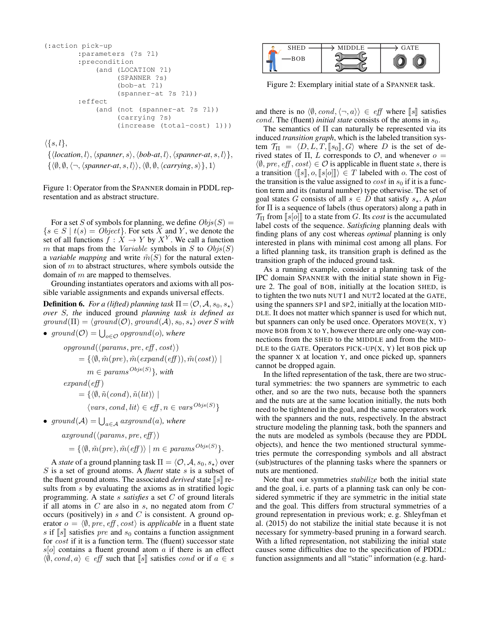```
(:action pick-up
        :parameters (?s ?l)
        :precondition
             (and (LOCATION ?l)
                   (SPANNER ?s)
                   (bob-at ?l)
                   (spanner-at ?s ?l))
        :effect
             (and (not (spanner-at ?s ?l))
                   (carrying ?s)
                   (increase (total-cost) 1)))
\{\{s, l\},\}
```
 $\{$ langlelocation, l \rangle, $*bob*-at, l \rangle,$  $*spanner*-at, *s*, l \rangle\},$  $\{\langle \emptyset, \emptyset, \langle \neg, \langle spanner-at, s, l \rangle \rangle, \langle \emptyset, \emptyset, \langle carrying, s \rangle\}, 1 \rangle$ 

Figure 1: Operator from the SPANNER domain in PDDL representation and as abstract structure.

For a set S of symbols for planning, we define  $Objs(S) =$  $\{s \in S \mid t(s) = Object\}$ . For sets X and Y, we denote the set of all functions  $\tilde{f} : X \to Y$  by  $X^Y$ . We call a function m that maps from the *Variable* symbols in S to  $Objs(S)$ a *variable mapping* and write  $\tilde{m}(S)$  for the natural extension of  $m$  to abstract structures, where symbols outside the domain of  $m$  are mapped to themselves.

Grounding instantiates operators and axioms with all possible variable assignments and expands universal effects.

**Definition 6.** *For a (lifted) planning task*  $\Pi = \langle \mathcal{O}, \mathcal{A}, s_0, s_\star \rangle$ *over* S*, the* induced ground *planning task is defined as*  $ground(\Pi) = \langle ground(\mathcal{O}), ground(\mathcal{A}), s_0, s_* \rangle$  *over* S *with* 

•  $ground(\mathcal{O}) = \bigcup_{o \in \mathcal{O}} \text{opground}(o)$ *, where* 

$$
opground(\langle params, pre, eff, cost \rangle)
$$
  
= { $\langle \emptyset, \tilde{m}(pre), \tilde{m}(expand(eff)), \tilde{m}(cost) \rangle$  |  
 $m \in params^{Objs(S)}$ }, with  
 $expand(eff)$   
= { $\langle \emptyset, \tilde{n}(cond), \tilde{n}(lit) \rangle$  |  
 $\langle vars, cond, lit \rangle \in eff, n \in vars^{Objs(S)}$ }

•  $ground(\mathcal{A}) = \bigcup_{a \in \mathcal{A}}arground(a)$ *, where* 

```
arground(\langleparams, pre, eff \rangle)
```

$$
= \{ \langle \emptyset, \tilde{m}(pre), \tilde{m}(eff) \rangle \mid m \in params^{Objs(S)} \}.
$$

A *state* of a ground planning task  $\Pi = \langle O, A, s_0, s_* \rangle$  over S is a set of ground atoms. A *fluent* state s is a subset of the fluent ground atoms. The associated *derived* state  $\llbracket s \rrbracket$  results from s by evaluating the axioms as in stratified logic programming. A state s *satisfies* a set C of ground literals if all atoms in  $C$  are also in  $s$ , no negated atom from  $C$ occurs (positively) in  $s$  and  $C$  is consistent. A ground operator  $o = \langle \emptyset, pre, eff, cost \rangle$  is *applicable* in a fluent state s if  $\llbracket s \rrbracket$  satisfies pre and  $s_0$  contains a function assignment for cost if it is a function term. The (fluent) successor state  $s[0]$  contains a fluent ground atom a if there is an effect  $\langle \emptyset, cond, a \rangle \in eff$  such that [s] satisfies cond or if  $a \in s$ 



Figure 2: Exemplary initial state of a SPANNER task.

and there is no  $\langle \emptyset, cond, \langle \neg, a \rangle \rangle \in eff$  where  $\llbracket s \rrbracket$  satisfies *cond.* The (fluent) *initial state* consists of the atoms in  $s<sub>0</sub>$ .

The semantics of Π can naturally be represented via its induced *transition graph*, which is the labeled transition system  $\mathcal{T}_{\Pi} = \langle D, L, T, \lbrack s_0 \rbrack, G \rangle$  where D is the set of derived states of  $\Pi$ , L corresponds to  $\mathcal{O}$ , and whenever  $o =$  $\langle \emptyset, pre, eff, cost \rangle \in \mathcal{O}$  is applicable in fluent state s, there is a transition  $\langle s, s \mid s[0] \rangle \in T$  labeled with o. The cost of the transition is the value assigned to *cost* in  $s_0$  if it is a function term and its (natural number) type otherwise. The set of goal states G consists of all  $s \in D$  that satisfy  $s_{\star}$ . A *plan* for  $\Pi$  is a sequence of labels (thus operators) along a path in  $\mathcal{T}_{\Pi}$  from  $\|s[0]\|$  to a state from G. Its *cost* is the accumulated label costs of the sequence. *Satisficing* planning deals with finding plans of any cost whereas *optimal* planning is only interested in plans with minimal cost among all plans. For a lifted planning task, its transition graph is defined as the transition graph of the induced ground task.

As a running example, consider a planning task of the IPC domain SPANNER with the initial state shown in Figure 2. The goal of BOB, initially at the location SHED, is to tighten the two nuts NUT1 and NUT2 located at the GATE, using the spanners SP1 and SP2, initially at the location MID-DLE. It does not matter which spanner is used for which nut, but spanners can only be used once. Operators  $Move(X, Y)$ move BOB from X to Y, however there are only one-way connections from the SHED to the MIDDLE and from the MID-DLE to the GATE. Operators  $PICK-UP(X, Y)$  let BOB pick up the spanner X at location Y, and once picked up, spanners cannot be dropped again.

In the lifted representation of the task, there are two structural symmetries: the two spanners are symmetric to each other, and so are the two nuts, because both the spanners and the nuts are at the same location initially, the nuts both need to be tightened in the goal, and the same operators work with the spanners and the nuts, respectively. In the abstract structure modeling the planning task, both the spanners and the nuts are modeled as symbols (because they are PDDL objects), and hence the two mentioned structural symmetries permute the corresponding symbols and all abstract (sub)structures of the planning tasks where the spanners or nuts are mentioned.

Note that our symmetries *stabilize* both the initial state and the goal, i. e. parts of a planning task can only be considered symmetric if they are symmetric in the initial state and the goal. This differs from structural symmetries of a ground representation in previous work; e. g. Shleyfman et al. (2015) do not stabilize the initial state because it is not necessary for symmetry-based pruning in a forward search. With a lifted representation, not stabilizing the initial state causes some difficulties due to the specification of PDDL: function assignments and all "static" information (e.g. hard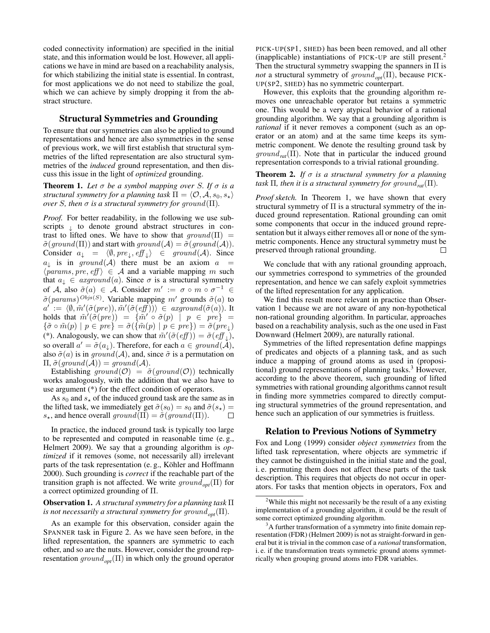coded connectivity information) are specified in the initial state, and this information would be lost. However, all applications we have in mind are based on a reachability analysis, for which stabilizing the initial state is essential. In contrast, for most applications we do not need to stabilize the goal, which we can achieve by simply dropping it from the abstract structure.

# Structural Symmetries and Grounding

To ensure that our symmetries can also be applied to ground representations and hence are also symmetries in the sense of previous work, we will first establish that structural symmetries of the lifted representation are also structural symmetries of the *induced* ground representation, and then discuss this issue in the light of *optimized* grounding.

**Theorem 1.** Let  $\sigma$  be a symbol mapping over S. If  $\sigma$  is a *structural symmetry for a planning task*  $\Pi = \langle O, A, s_0, s_\star \rangle$ *over S*, then  $\sigma$  *is a structural symmetry for ground*( $\Pi$ )*.* 

*Proof.* For better readability, in the following we use subscripts  $\downarrow$  to denote ground abstract structures in contrast to lifted ones. We have to show that  $ground(\Pi)$  =  $\tilde{\sigma}(ground(\Pi))$  and start with  $ground(\mathcal{A}) = \tilde{\sigma}(ground(\mathcal{A})).$ Consider  $a_{\downarrow} = \langle \emptyset, pre_{\downarrow}, eff_{\downarrow} \rangle \in \mathit{ground}(\mathcal{A})$ . Since  $a_{\downarrow}$  is in ground(A) there must be an axiom  $a =$  $\langle \text{params}, \text{pre}, \text{eff} \rangle \in A$  and a variable mapping m such that  $a_{\downarrow} \in \text{arground}(a)$ . Since  $\sigma$  is a structural symmetry of A, also  $\tilde{\sigma}(a) \in A$ . Consider  $m' := \sigma \circ m \circ \sigma^{-1} \in$  $\tilde{\sigma}(params)^{Obj_S(S)}$ . Variable mapping m' grounds  $\tilde{\sigma}(a)$  to  $a' := \langle \emptyset, \tilde{m}'(\tilde{\sigma}(pre)), \tilde{m}'(\tilde{\sigma}(eff))) \rangle \in \mathit{arground}(\tilde{\sigma}(a)).$  It holds that  $\tilde{m}'(\tilde{\sigma}(pre)) = \{\tilde{m}' \circ \tilde{\sigma}(p) \mid p \in pre\} =$  $\{\tilde{\sigma} \circ \tilde{m}(p) \mid p \in pre\} = \tilde{\sigma}(\{\tilde{m}(p) \mid p \in pre\}) = \tilde{\sigma}(pre_{\downarrow})$ (\*). Analogously, we can show that  $\tilde{m}'(\tilde{\sigma}(eff)) = \tilde{\sigma}(eff_{\downarrow}),$ so overall  $a' = \tilde{\sigma}(a_{\downarrow})$ . Therefore, for each  $a \in ground(\mathcal{A})$ , also  $\tilde{\sigma}(a)$  is in ground(A), and, since  $\tilde{\sigma}$  is a permutation on  $\Pi$ ,  $\tilde{\sigma}(\text{ground}(\mathcal{A})) = \text{ground}(\mathcal{A}).$ 

Establishing  $ground(\mathcal{O}) = \tilde{\sigma}(ground(\mathcal{O}))$  technically works analogously, with the addition that we also have to use argument (\*) for the effect condition of operators.

As  $s_0$  and  $s_{\star}$  of the induced ground task are the same as in the lifted task, we immediately get  $\tilde{\sigma}(s_0) = s_0$  and  $\tilde{\sigma}(s_\star) =$  $s_{\star}$ , and hence overall ground(Π) =  $\tilde{\sigma}(ground(\Pi))$ .

In practice, the induced ground task is typically too large to be represented and computed in reasonable time (e. g., Helmert 2009). We say that a grounding algorithm is *optimized* if it removes (some, not necessarily all) irrelevant parts of the task representation (e.g., Köhler and Hoffmann 2000). Such grounding is *correct* if the reachable part of the transition graph is not affected. We write  $ground_{opt}(\Pi)$  for a correct optimized grounding of Π.

## Observation 1. *A structural symmetry for a planning task* Π *is not necessarily a structural symmetry for ground*<sub>*opt*</sub> $(\Pi)$ *.*

PICK-UP(SP1, SHED) has been been removed, and all other (inapplicable) instantiations of PICK-UP are still present.<sup>2</sup> Then the structural symmetry swapping the spanners in  $\Pi$  is *not* a structural symmetry of  $ground_{opt}(\Pi)$ , because PICK-UP(SP2, SHED) has no symmetric counterpart.

However, this exploits that the grounding algorithm removes one unreachable operator but retains a symmetric one. This would be a very atypical behavior of a rational grounding algorithm. We say that a grounding algorithm is *rational* if it never removes a component (such as an operator or an atom) and at the same time keeps its symmetric component. We denote the resulting ground task by  $ground_{rat}$ (II). Note that in particular the induced ground representation corresponds to a trivial rational grounding.

#### Theorem 2. *If* σ *is a structural symmetry for a planning task*  $\Pi$ *, then it is a structural symmetry for ground<sub>rat</sub>* $(\Pi)$ *.*

*Proof sketch.* In Theorem 1, we have shown that every structural symmetry of  $\Pi$  is a structural symmetry of the induced ground representation. Rational grounding can omit some components that occur in the induced ground representation but it always either removes all or none of the symmetric components. Hence any structural symmetry must be preserved through rational grounding.  $\Box$ 

We conclude that with any rational grounding approach, our symmetries correspond to symmetries of the grounded representation, and hence we can safely exploit symmetries of the lifted representation for any application.

We find this result more relevant in practice than Observation 1 because we are not aware of any non-hypothetical non-rational grounding algorithm. In particular, approaches based on a reachability analysis, such as the one used in Fast Downward (Helmert 2009), are naturally rational.

Symmetries of the lifted representation define mappings of predicates and objects of a planning task, and as such induce a mapping of ground atoms as used in (propositional) ground representations of planning tasks.<sup>3</sup> However, according to the above theorem, such grounding of lifted symmetries with rational grounding algorithms cannot result in finding more symmetries compared to directly computing structural symmetries of the ground representation, and hence such an application of our symmetries is fruitless.

## Relation to Previous Notions of Symmetry

Fox and Long (1999) consider *object symmetries* from the lifted task representation, where objects are symmetric if they cannot be distinguished in the initial state and the goal, i. e. permuting them does not affect these parts of the task description. This requires that objects do not occur in operators. For tasks that mention objects in operators, Fox and

As an example for this observation, consider again the SPANNER task in Figure 2. As we have seen before, in the lifted representation, the spanners are symmetric to each other, and so are the nuts. However, consider the ground representation  $ground_{opt}(\Pi)$  in which only the ground operator

<sup>&</sup>lt;sup>2</sup>While this might not necessarily be the result of a any existing implementation of a grounding algorithm, it could be the result of some correct optimized grounding algorithm.

<sup>&</sup>lt;sup>3</sup>A further transformation of a symmetry into finite domain representation (FDR) (Helmert 2009) is not as straight-forward in general but it is trivial in the common case of a *rational* transformation, i. e. if the transformation treats symmetric ground atoms symmetrically when grouping ground atoms into FDR variables.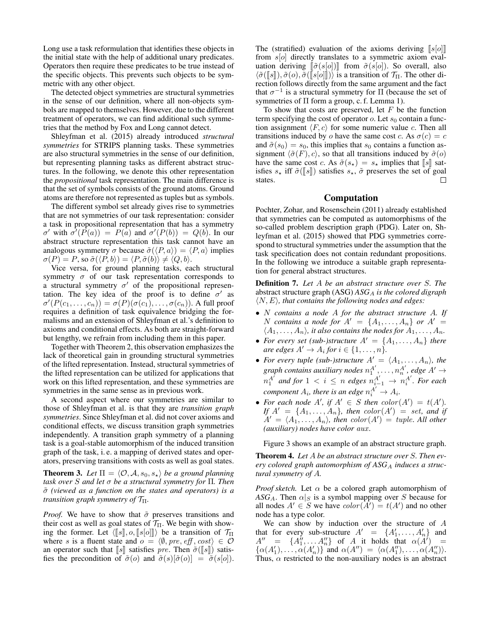Long use a task reformulation that identifies these objects in the initial state with the help of additional unary predicates. Operators then require these predicates to be true instead of the specific objects. This prevents such objects to be symmetric with any other object.

The detected object symmetries are structural symmetries in the sense of our definition, where all non-objects symbols are mapped to themselves. However, due to the different treatment of operators, we can find additional such symmetries that the method by Fox and Long cannot detect.

Shleyfman et al. (2015) already introduced *structural symmetries* for STRIPS planning tasks. These symmetries are also structural symmetries in the sense of our definition, but representing planning tasks as different abstract structures. In the following, we denote this other representation the *propositional* task representation. The main difference is that the set of symbols consists of the ground atoms. Ground atoms are therefore not represented as tuples but as symbols.

The different symbol set already gives rise to symmetries that are not symmetries of our task representation: consider a task in propositional representation that has a symmetry  $\sigma'$  with  $\sigma'(P(a)) = P(a)$  and  $\sigma'(P(b)) = Q(b)$ . In our abstract structure representation this task cannot have an analogous symmetry  $\sigma$  because  $\tilde{\sigma}(\langle P, a \rangle) = \langle P, a \rangle$  implies  $\sigma(P) = P$ , so  $\tilde{\sigma}(\langle P, b \rangle) = \langle P, \tilde{\sigma}(b) \rangle \neq \langle Q, b \rangle$ .

Vice versa, for ground planning tasks, each structural symmetry  $\sigma$  of our task representation corresponds to a structural symmetry  $\sigma'$  of the propositional representation. The key idea of the proof is to define  $\sigma'$  as  $\sigma'(P(c_1, \ldots, c_n)) = \sigma(P)(\sigma(c_1), \ldots, \sigma(c_n))$ . A full proof requires a definition of task equivalence bridging the formalisms and an extension of Shleyfman et al.'s definition to axioms and conditional effects. As both are straight-forward but lengthy, we refrain from including them in this paper.

Together with Theorem 2, this observation emphasizes the lack of theoretical gain in grounding structural symmetries of the lifted representation. Instead, structural symmetries of the lifted representation can be utilized for applications that work on this lifted representation, and these symmetries are symmetries in the same sense as in previous work.

A second aspect where our symmetries are similar to those of Shleyfman et al. is that they are *transition graph symmetries*. Since Shleyfman et al. did not cover axioms and conditional effects, we discuss transition graph symmetries independently. A transition graph symmetry of a planning task is a goal-stable automorphism of the induced transition graph of the task, i. e. a mapping of derived states and operators, preserving transitions with costs as well as goal states.

**Theorem 3.** Let  $\Pi = \langle O, A, s_0, s_\star \rangle$  *be a ground planning task over* S *and let* σ *be a structural symmetry for* Π*. Then* σ˜ *(viewed as a function on the states and operators) is a transition graph symmetry of*  $\mathcal{T}_{\Pi}$ *.* 

*Proof.* We have to show that  $\tilde{\sigma}$  preserves transitions and their cost as well as goal states of  $\mathcal{T}_{\Pi}$ . We begin with showing the former. Let  $\langle s, s[0] \rangle$  be a transition of  $\mathcal{T}_{\Pi}$ where s is a fluent state and  $o = \langle \emptyset, pre, eff, cost \rangle \in \mathcal{O}$ an operator such that  $\llbracket s \rrbracket$  satisfies pre. Then  $\tilde{\sigma}(\llbracket s \rrbracket)$  satisfies the precondition of  $\tilde{\sigma}(o)$  and  $\tilde{\sigma}(s)[\tilde{\sigma}(o)] = \tilde{\sigma}(s[o])$ . The (stratified) evaluation of the axioms deriving  $\llbracket s[\omega] \rrbracket$ from  $s[*o*]$  directly translates to a symmetric axiom evaluation deriving  $\lbrack \lbrack \tilde{\sigma}(s[o]) \rbrack$  from  $\tilde{\sigma}(s[o])$ . So overall, also  $\langle \tilde{\sigma}([\![s]\!]) , \tilde{\sigma}(o), \tilde{\sigma}([\![s[\sigma]\!]) \rangle$  is a transition of  $\mathcal{T}_{\Pi}$ . The other direction follows directly from the same argument and the fact that  $\sigma^{-1}$  is a structural symmetry for  $\Pi$  (because the set of symmetries of Π form a group, c. f. Lemma 1).

To show that costs are preserved, let  $F$  be the function term specifying the cost of operator  $o$ . Let  $s_0$  contain a function assignment  $\langle F, c \rangle$  for some numeric value c. Then all transitions induced by o have the same cost c. As  $\sigma(c) = c$ and  $\tilde{\sigma}(s_0) = s_0$ , this implies that  $s_0$  contains a function assignment  $\langle \tilde{\sigma}(F), c \rangle$ , so that all transitions induced by  $\tilde{\sigma}(o)$ have the same cost c. As  $\tilde{\sigma}(s_\star) = s_\star$  implies that  $\llbracket s \rrbracket$  satisfies  $s_{\star}$  iff  $\tilde{\sigma}(\llbracket s \rrbracket)$  satisfies  $s_{\star}$ ,  $\tilde{\sigma}$  preserves the set of goal states states.

# Computation

Pochter, Zohar, and Rosenschein (2011) already established that symmetries can be computed as automorphisms of the so-called problem description graph (PDG). Later on, Shleyfman et al. (2015) showed that PDG symmetries correspond to structural symmetries under the assumption that the task specification does not contain redundant propositions. In the following we introduce a suitable graph representation for general abstract structures.

Definition 7. *Let* A *be an abstract structure over* S*. The* abstract structure graph (ASG) *ASG<sub>A</sub> is the colored digraph*  $\langle N, E \rangle$ , that contains the following nodes and edges:

- N *contains a node* A *for the abstract structure* A*. If* N contains a node for  $A' = \{A_1, \ldots, A_n\}$  or  $A' =$  $\langle A_1, \ldots, A_n \rangle$ , it also contains the nodes for  $A_1, \ldots, A_n$ .
- For every set (sub-)structure  $A' = \{A_1, \ldots, A_n\}$  there  $are edges A' \rightarrow A_i for i \in \{1, \ldots, n\}.$
- For every tuple (sub-)structure  $A' = \langle A_1, \ldots, A_n \rangle$ , the  $graph$  contains auxiliary nodes  $n_1^{A'}, \ldots, n_n^{A'}$ , edge  $A' \rightarrow$  $n_1^{A'}$  and for  $1 \lt i \leq n$  edges  $n_{i-1}^{A'} \rightarrow n_i^{A'}$ . For each *component*  $A_i$ , there is an edge  $n_i^{A'} \rightarrow A_i$ .
- For each node  $A'$ , if  $A' \in S$  then  $color(A') = t(A')$ .  $\iint A' = \{A_1, \ldots, A_n\}$ , then  $\text{color}(A') = \text{set}$ , and if  $A' = \langle A_1, \ldots, A_n \rangle$ , then  $color(A') = tuple$ . All other *(auxiliary)* nodes have color aux.

Figure 3 shows an example of an abstract structure graph.

Theorem 4. *Let* A *be an abstract structure over* S*. Then every colored graph automorphism of ASG*<sup>A</sup> *induces a structural symmetry of* A*.*

*Proof sketch.* Let  $\alpha$  be a colored graph automorphism of  $ASG_A$ . Then  $\alpha|_S$  is a symbol mapping over S because for all nodes  $A' \in S$  we have  $color(\overline{A'}) = t(A')$  and no other node has a type color.

We can show by induction over the structure of A that for every sub-structure  $A' = \{A'_1, \ldots, A'_n\}$  and  $A'' = \{A''_1, \ldots, A''_n\}$  of A it holds that  $\alpha(\tilde{A}') =$  $\{\alpha(A'_1), \ldots, \alpha(A'_n)\}\$  and  $\alpha(A'') = \langle \alpha(A''_1), \ldots, \alpha(A''_n) \rangle.$ Thus,  $\alpha$  restricted to the non-auxiliary nodes is an abstract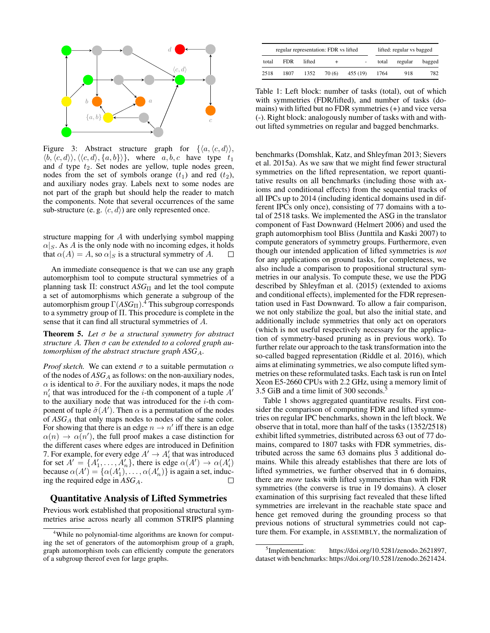

Figure 3: Abstract structure graph for  $\{\langle a, \langle c, d \rangle\},\}$  $\langle b, \langle c, d \rangle \rangle, \langle \langle c, d \rangle, \{a, b\} \rangle$ , where  $a, b, c$  have type  $t_1$ and  $d$  type  $t_2$ . Set nodes are yellow, tuple nodes green, nodes from the set of symbols orange  $(t_1)$  and red  $(t_2)$ , and auxiliary nodes gray. Labels next to some nodes are not part of the graph but should help the reader to match the components. Note that several occurrences of the same sub-structure (e. g.  $\langle c, d \rangle$ ) are only represented once.

structure mapping for A with underlying symbol mapping  $\alpha|_S$ . As A is the only node with no incoming edges, it holds that  $\alpha(A) = A$ , so  $\alpha|_S$  is a structural symmetry of A. that  $\alpha(A) = A$ , so  $\alpha|_S$  is a structural symmetry of A.

An immediate consequence is that we can use any graph automorphism tool to compute structural symmetries of a planning task Π: construct *ASG*<sub>Π</sub> and let the tool compute a set of automorphisms which generate a subgroup of the automorphism group  $\Gamma(ASG_{\Pi})$ .<sup>4</sup> This subgroup corresponds to a symmetry group of Π. This procedure is complete in the sense that it can find all structural symmetries of A.

Theorem 5. *Let* σ *be a structural symmetry for abstract structure* A*. Then* σ *can be extended to a colored graph automorphism of the abstract structure graph ASG<sub>A</sub>.* 

*Proof sketch.* We can extend  $\sigma$  to a suitable permutation  $\alpha$ of the nodes of *ASG*<sup>A</sup> as follows: on the non-auxiliary nodes,  $\alpha$  is identical to  $\tilde{\sigma}$ . For the auxiliary nodes, it maps the node  $n'_i$  that was introduced for the *i*-th component of a tuple  $A'$ to the auxiliary node that was introduced for the  $i$ -th component of tuple  $\tilde{\sigma}(A')$ . Then  $\alpha$  is a permutation of the nodes of *ASG*<sup>A</sup> that only maps nodes to nodes of the same color. For showing that there is an edge  $n \to n'$  iff there is an edge  $\alpha(n) \to \alpha(n')$ , the full proof makes a case distinction for the different cases where edges are introduced in Definition 7. For example, for every edge  $A' \rightarrow A'_i$  that was introduced for set  $A' = \{A'_1, \ldots, A'_n\}$ , there is edge  $\alpha(A') \to \alpha(A'_i)$ because  $\alpha(A') = \{ \alpha(A'_1), \dots, \alpha(A'_n) \}$  is again a set, inducing the required edge in *ASG*A.

# Quantitative Analysis of Lifted Symmetries

Previous work established that propositional structural symmetries arise across nearly all common STRIPS planning

| regular representation: FDR vs lifted |            |        |        |                          | lifted: regular vs bagged |         |        |
|---------------------------------------|------------|--------|--------|--------------------------|---------------------------|---------|--------|
| total                                 | <b>FDR</b> | lifted |        | $\overline{\phantom{a}}$ | total                     | regular | bagged |
| 2518                                  | 1807       | 1352   | 70 (6) | 455 (19)                 | 1764                      | 918     | 782    |

Table 1: Left block: number of tasks (total), out of which with symmetries (FDR/lifted), and number of tasks (domains) with lifted but no FDR symmetries (+) and vice versa (-). Right block: analogously number of tasks with and without lifted symmetries on regular and bagged benchmarks.

benchmarks (Domshlak, Katz, and Shleyfman 2013; Sievers et al. 2015a). As we saw that we might find fewer structural symmetries on the lifted representation, we report quantitative results on all benchmarks (including those with axioms and conditional effects) from the sequential tracks of all IPCs up to 2014 (including identical domains used in different IPCs only once), consisting of 77 domains with a total of 2518 tasks. We implemented the ASG in the translator component of Fast Downward (Helmert 2006) and used the graph automorphism tool Bliss (Junttila and Kaski 2007) to compute generators of symmetry groups. Furthermore, even though our intended application of lifted symmetries is *not* for any applications on ground tasks, for completeness, we also include a comparison to propositional structural symmetries in our analysis. To compute these, we use the PDG described by Shleyfman et al. (2015) (extended to axioms and conditional effects), implemented for the FDR representation used in Fast Downward. To allow a fair comparison, we not only stabilize the goal, but also the initial state, and additionally include symmetries that only act on operators (which is not useful respectively necessary for the application of symmetry-based pruning as in previous work). To further relate our approach to the task transformation into the so-called bagged representation (Riddle et al. 2016), which aims at eliminating symmetries, we also compute lifted symmetries on these reformulated tasks. Each task is run on Intel Xeon E5-2660 CPUs with 2.2 GHz, using a memory limit of 3.5 GiB and a time limit of 300 seconds.<sup>5</sup>

Table 1 shows aggregated quantitative results. First consider the comparison of computing FDR and lifted symmetries on regular IPC benchmarks, shown in the left block. We observe that in total, more than half of the tasks (1352/2518) exhibit lifted symmetries, distributed across 63 out of 77 domains, compared to 1807 tasks with FDR symmetries, distributed across the same 63 domains plus 3 additional domains. While this already establishes that there are lots of lifted symmetries, we further observed that in 6 domains, there are *more* tasks with lifted symmetries than with FDR symmetries (the converse is true in 19 domains). A closer examination of this surprising fact revealed that these lifted symmetries are irrelevant in the reachable state space and hence get removed during the grounding process so that previous notions of structural symmetries could not capture them. For example, in ASSEMBLY, the normalization of

<sup>4</sup>While no polynomial-time algorithms are known for computing the set of generators of the automorphism group of a graph, graph automorphism tools can efficiently compute the generators of a subgroup thereof even for large graphs.

<sup>&</sup>lt;sup>5</sup>Implementation: https://doi.org/10.5281/zenodo.2621897, dataset with benchmarks: https://doi.org/10.5281/zenodo.2621424.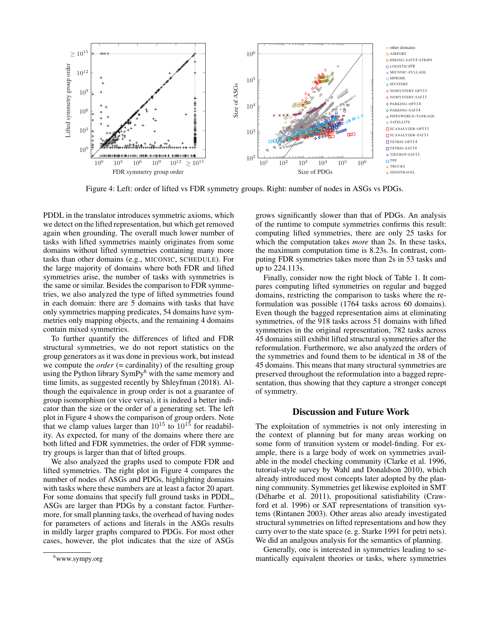

Figure 4: Left: order of lifted vs FDR symmetry groups. Right: number of nodes in ASGs vs PDGs.

PDDL in the translator introduces symmetric axioms, which we detect on the lifted representation, but which get removed again when grounding. The overall much lower number of tasks with lifted symmetries mainly originates from some domains without lifted symmetries containing many more tasks than other domains (e.g., MICONIC, SCHEDULE). For the large majority of domains where both FDR and lifted symmetries arise, the number of tasks with symmetries is the same or similar. Besides the comparison to FDR symmetries, we also analyzed the type of lifted symmetries found in each domain: there are 5 domains with tasks that have only symmetries mapping predicates, 54 domains have symmetries only mapping objects, and the remaining 4 domains contain mixed symmetries.

To further quantify the differences of lifted and FDR structural symmetries, we do not report statistics on the group generators as it was done in previous work, but instead we compute the *order* (= cardinality) of the resulting group using the Python library  $SymPy^6$  with the same memory and time limits, as suggested recently by Shleyfman (2018). Although the equivalence in group order is not a guarantee of group isomorphism (or vice versa), it is indeed a better indicator than the size or the order of a generating set. The left plot in Figure 4 shows the comparison of group orders. Note that we clamp values larger than  $10^{15}$  to  $10^{15}$  for readability. As expected, for many of the domains where there are both lifted and FDR symmetries, the order of FDR symmetry groups is larger than that of lifted groups.

We also analyzed the graphs used to compute FDR and lifted symmetries. The right plot in Figure 4 compares the number of nodes of ASGs and PDGs, highlighting domains with tasks where these numbers are at least a factor 20 apart. For some domains that specify full ground tasks in PDDL, ASGs are larger than PDGs by a constant factor. Furthermore, for small planning tasks, the overhead of having nodes for parameters of actions and literals in the ASGs results in mildly larger graphs compared to PDGs. For most other cases, however, the plot indicates that the size of ASGs

grows significantly slower than that of PDGs. An analysis of the runtime to compute symmetries confirms this result: computing lifted symmetries, there are only 25 tasks for which the computation takes *more* than 2s. In these tasks, the maximum computation time is 8.23s. In contrast, computing FDR symmetries takes more than 2s in 53 tasks and up to 224.113s.

Finally, consider now the right block of Table 1. It compares computing lifted symmetries on regular and bagged domains, restricting the comparison to tasks where the reformulation was possible (1764 tasks across 60 domains). Even though the bagged representation aims at eliminating symmetries, of the 918 tasks across 51 domains with lifted symmetries in the original representation, 782 tasks across 45 domains still exhibit lifted structural symmetries after the reformulation. Furthermore, we also analyzed the orders of the symmetries and found them to be identical in 38 of the 45 domains. This means that many structural symmetries are preserved throughout the reformulation into a bagged representation, thus showing that they capture a stronger concept of symmetry.

#### Discussion and Future Work

The exploitation of symmetries is not only interesting in the context of planning but for many areas working on some form of transition system or model-finding. For example, there is a large body of work on symmetries available in the model checking community (Clarke et al. 1996, tutorial-style survey by Wahl and Donaldson 2010), which already introduced most concepts later adopted by the planning community. Symmetries get likewise exploited in SMT (Déharbe et al. 2011), propositional satisfiability (Crawford et al. 1996) or SAT representations of transition systems (Rintanen 2003). Other areas also aready investigated structural symmetries on lifted representations and how they carry over to the state space (e. g. Starke 1991 for petri nets). We did an analgous analysis for the semantics of planning.

Generally, one is interested in symmetries leading to semantically equivalent theories or tasks, where symmetries

<sup>6</sup>www.sympy.org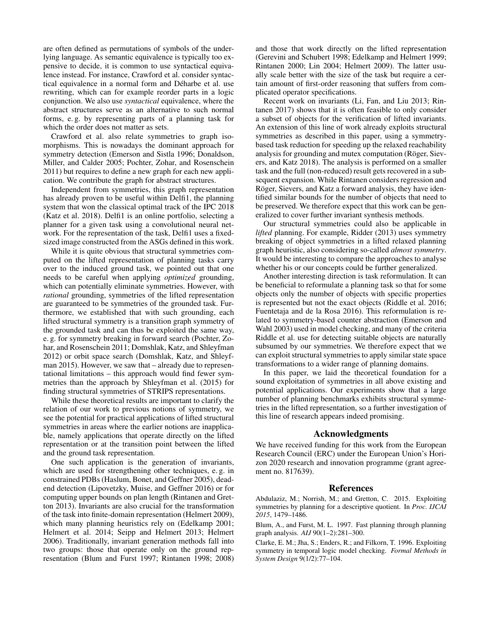are often defined as permutations of symbols of the underlying language. As semantic equivalence is typically too expensive to decide, it is common to use syntactical equivalence instead. For instance, Crawford et al. consider syntactical equivalence in a normal form and Déharbe et al. use rewriting, which can for example reorder parts in a logic conjunction. We also use *syntactical* equivalence, where the abstract structures serve as an alternative to such normal forms, e. g. by representing parts of a planning task for which the order does not matter as sets.

Crawford et al. also relate symmetries to graph isomorphisms. This is nowadays the dominant approach for symmetry detection (Emerson and Sistla 1996; Donaldson, Miller, and Calder 2005; Pochter, Zohar, and Rosenschein 2011) but requires to define a new graph for each new application. We contribute the graph for abstract structures.

Independent from symmetries, this graph representation has already proven to be useful within Delfi1, the planning system that won the classical optimal track of the IPC 2018 (Katz et al. 2018). Delfi1 is an online portfolio, selecting a planner for a given task using a convolutional neural network. For the representation of the task, Delfi1 uses a fixedsized image constructed from the ASGs defined in this work.

While it is quite obvious that structural symmetries computed on the lifted representation of planning tasks carry over to the induced ground task, we pointed out that one needs to be careful when applying *optimized* grounding, which can potentially eliminate symmetries. However, with *rational* grounding, symmetries of the lifted representation are guaranteed to be symmetries of the grounded task. Furthermore, we established that with such grounding, each lifted structural symmetry is a transition graph symmetry of the grounded task and can thus be exploited the same way, e. g. for symmetry breaking in forward search (Pochter, Zohar, and Rosenschein 2011; Domshlak, Katz, and Shleyfman 2012) or orbit space search (Domshlak, Katz, and Shleyfman 2015). However, we saw that – already due to representational limitations – this approach would find fewer symmetries than the approach by Shleyfman et al. (2015) for finding structural symmetries of STRIPS representations.

While these theoretical results are important to clarify the relation of our work to previous notions of symmetry, we see the potential for practical applications of lifted structural symmetries in areas where the earlier notions are inapplicable, namely applications that operate directly on the lifted representation or at the transition point between the lifted and the ground task representation.

One such application is the generation of invariants, which are used for strengthening other techniques, e. g. in constrained PDBs (Haslum, Bonet, and Geffner 2005), deadend detection (Lipovetzky, Muise, and Geffner 2016) or for computing upper bounds on plan length (Rintanen and Gretton 2013). Invariants are also crucial for the transformation of the task into finite-domain representation (Helmert 2009), which many planning heuristics rely on (Edelkamp 2001; Helmert et al. 2014; Seipp and Helmert 2013; Helmert 2006). Traditionally, invariant generation methods fall into two groups: those that operate only on the ground representation (Blum and Furst 1997; Rintanen 1998; 2008)

and those that work directly on the lifted representation (Gerevini and Schubert 1998; Edelkamp and Helmert 1999; Rintanen 2000; Lin 2004; Helmert 2009). The latter usually scale better with the size of the task but require a certain amount of first-order reasoning that suffers from complicated operator specifications.

Recent work on invariants (Li, Fan, and Liu 2013; Rintanen 2017) shows that it is often feasible to only consider a subset of objects for the verification of lifted invariants. An extension of this line of work already exploits structural symmetries as described in this paper, using a symmetrybased task reduction for speeding up the relaxed reachability analysis for grounding and mutex computation (Röger, Sievers, and Katz 2018). The analysis is performed on a smaller task and the full (non-reduced) result gets recovered in a subsequent expansion. While Rintanen considers regression and Röger, Sievers, and Katz a forward analysis, they have identified similar bounds for the number of objects that need to be preserved. We therefore expect that this work can be generalized to cover further invariant synthesis methods.

Our structural symmetries could also be applicable in *lifted* planning. For example, Ridder (2013) uses symmetry breaking of object symmetries in a lifted relaxed planning graph heuristic, also considering so-called *almost symmetry*. It would be interesting to compare the approaches to analyse whether his or our concepts could be further generalized.

Another interesting direction is task reformulation. It can be beneficial to reformulate a planning task so that for some objects only the number of objects with specific properties is represented but not the exact objects (Riddle et al. 2016; Fuentetaja and de la Rosa 2016). This reformulation is related to symmetry-based counter abstraction (Emerson and Wahl 2003) used in model checking, and many of the criteria Riddle et al. use for detecting suitable objects are naturally subsumed by our symmetries. We therefore expect that we can exploit structural symmetries to apply similar state space transformations to a wider range of planning domains.

In this paper, we laid the theoretical foundation for a sound exploitation of symmetries in all above existing and potential applications. Our experiments show that a large number of planning benchmarks exhibits structural symmetries in the lifted representation, so a further investigation of this line of research appears indeed promising.

## Acknowledgments

We have received funding for this work from the European Research Council (ERC) under the European Union's Horizon 2020 research and innovation programme (grant agreement no. 817639).

#### References

Abdulaziz, M.; Norrish, M.; and Gretton, C. 2015. Exploiting symmetries by planning for a descriptive quotient. In *Proc. IJCAI 2015*, 1479–1486.

Blum, A., and Furst, M. L. 1997. Fast planning through planning graph analysis. *AIJ* 90(1–2):281–300.

Clarke, E. M.; Jha, S.; Enders, R.; and Filkorn, T. 1996. Exploiting symmetry in temporal logic model checking. *Formal Methods in System Design* 9(1/2):77–104.